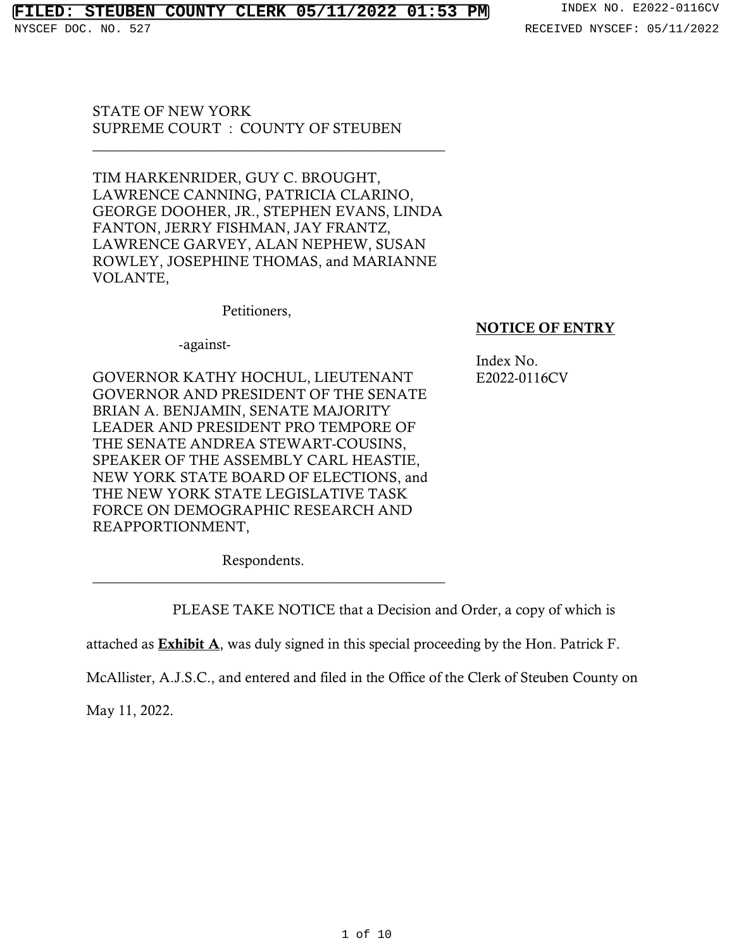# **FILED: STEUBEN COUNTY CLERK 05/11/2022 01:53 PM** INDEX NO. E2022-0116CV

STATE OF NEW YORK SUPREME COURT : COUNTY OF STEUBEN

TIM HARKENRIDER, GUY C. BROUGHT, LAWRENCE CANNING, PATRICIA CLARINO, GEORGE DOOHER, JR., STEPHEN EVANS, LINDA FANTON, JERRY FISHMAN, JAY FRANTZ, LAWRENCE GARVEY, ALAN NEPHEW, SUSAN ROWLEY, JOSEPHINE THOMAS, and MARIANNE VOLANTE,

\_\_\_\_\_\_\_\_\_\_\_\_\_\_\_\_\_\_\_\_\_\_\_\_\_\_\_\_\_\_\_\_\_\_\_\_\_\_\_\_\_\_\_\_\_\_\_\_\_

Petitioners,

## -against-

GOVERNOR KATHY HOCHUL, LIEUTENANT GOVERNOR AND PRESIDENT OF THE SENATE BRIAN A. BENJAMIN, SENATE MAJORITY LEADER AND PRESIDENT PRO TEMPORE OF THE SENATE ANDREA STEWART-COUSINS, SPEAKER OF THE ASSEMBLY CARL HEASTIE, NEW YORK STATE BOARD OF ELECTIONS, and THE NEW YORK STATE LEGISLATIVE TASK FORCE ON DEMOGRAPHIC RESEARCH AND REAPPORTIONMENT,

# NOTICE OF ENTRY

Index No. E2022-0116CV

Respondents. \_\_\_\_\_\_\_\_\_\_\_\_\_\_\_\_\_\_\_\_\_\_\_\_\_\_\_\_\_\_\_\_\_\_\_\_\_\_\_\_\_\_\_\_\_\_\_\_\_

PLEASE TAKE NOTICE that a Decision and Order, a copy of which is

attached as **Exhibit A**, was duly signed in this special proceeding by the Hon. Patrick F.

McAllister, A.J.S.C., and entered and filed in the Office of the Clerk of Steuben County on

May 11, 2022.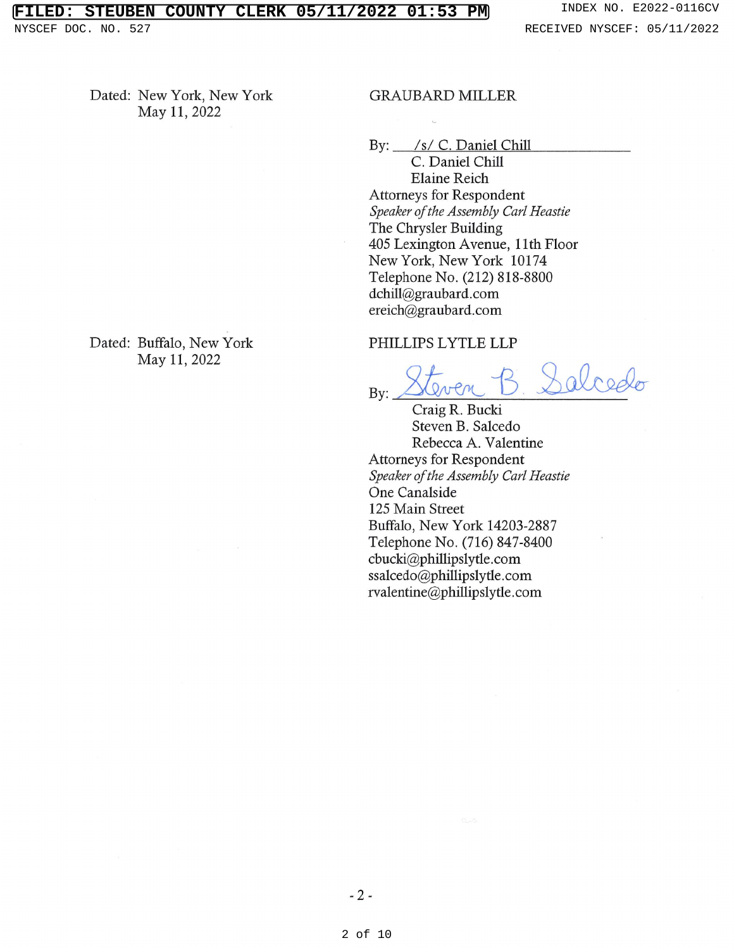Dated: New York, New York May 11, 2022

Dated: Buffalo, New York May 11, 2022

### **GRAUBARD MILLER**

By: /s/ C. Daniel Chill

C. Daniel Chill **Elaine Reich Attorneys for Respondent** Speaker of the Assembly Carl Heastie The Chrysler Building 405 Lexington Avenue, 11th Floor New York, New York 10174 Telephone No. (212) 818-8800 dchill@graubard.com ereich@graubard.com

### PHILLIPS LYTLE LLP

aloodo Bv:

Craig R. Bucki Steven B. Salcedo Rebecca A. Valentine **Attorneys for Respondent** Speaker of the Assembly Carl Heastie One Canalside 125 Main Street Buffalo, New York 14203-2887 Telephone No. (716) 847-8400 cbucki@phillipslytle.com ssalcedo@phillipslytle.com rvalentine@phillipslytle.com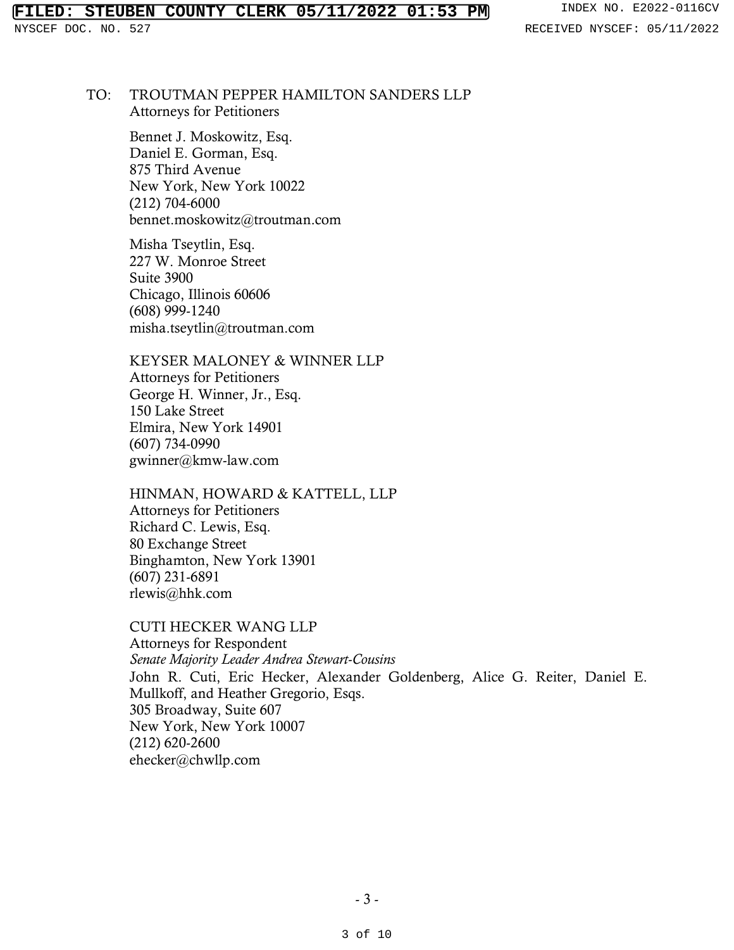## TO: TROUTMAN PEPPER HAMILTON SANDERS LLP Attorneys for Petitioners

Bennet J. Moskowitz, Esq. Daniel E. Gorman, Esq. 875 Third Avenue New York, New York 10022 (212) 704-6000 bennet.moskowitz@troutman.com

Misha Tseytlin, Esq. 227 W. Monroe Street Suite 3900 Chicago, Illinois 60606 (608) 999-1240 misha.tseytlin@troutman.com

# KEYSER MALONEY & WINNER LLP

Attorneys for Petitioners George H. Winner, Jr., Esq. 150 Lake Street Elmira, New York 14901 (607) 734-0990 gwinner@kmw-law.com

# HINMAN, HOWARD & KATTELL, LLP

Attorneys for Petitioners Richard C. Lewis, Esq. 80 Exchange Street Binghamton, New York 13901 (607) 231-6891 rlewis@hhk.com

# CUTI HECKER WANG LLP

Attorneys for Respondent *Senate Majority Leader Andrea Stewart-Cousins*  John R. Cuti, Eric Hecker, Alexander Goldenberg, Alice G. Reiter, Daniel E. Mullkoff, and Heather Gregorio, Esqs. 305 Broadway, Suite 607 New York, New York 10007 (212) 620-2600 ehecker@chwllp.com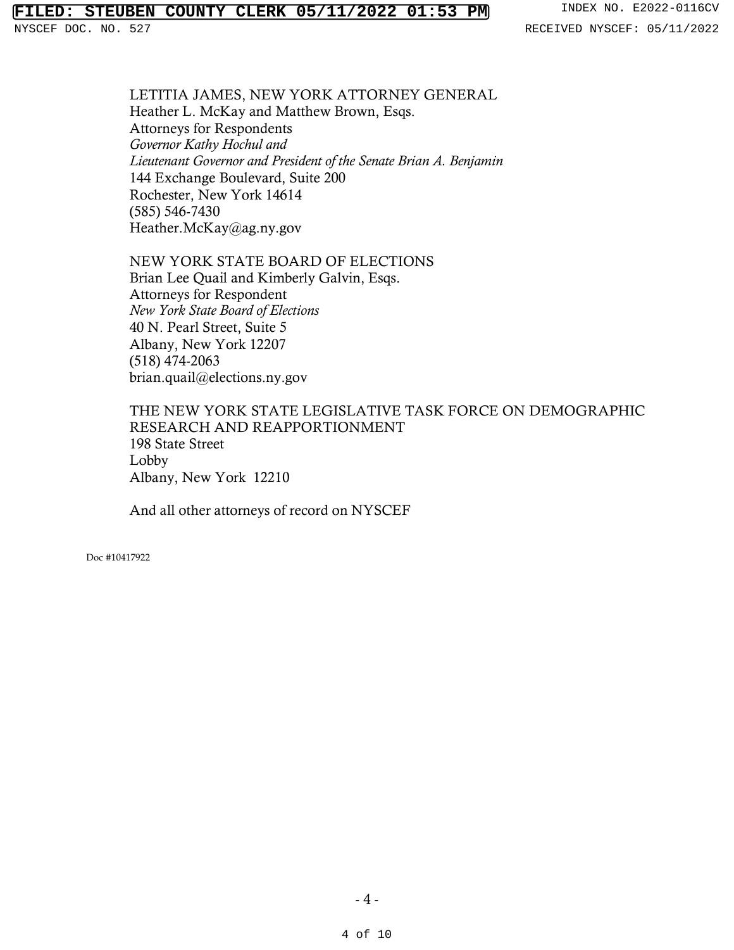# **FILED: STEUBEN COUNTY CLERK 05/11/2022 01:53 PM** INDEX NO. E2022-0116CV

LETITIA JAMES, NEW YORK ATTORNEY GENERAL Heather L. McKay and Matthew Brown, Esqs. Attorneys for Respondents *Governor Kathy Hochul and Lieutenant Governor and President of the Senate Brian A. Benjamin*  144 Exchange Boulevard, Suite 200 Rochester, New York 14614 (585) 546-7430 Heather.McKay@ag.ny.gov

NEW YORK STATE BOARD OF ELECTIONS Brian Lee Quail and Kimberly Galvin, Esqs. Attorneys for Respondent *New York State Board of Elections*  40 N. Pearl Street, Suite 5 Albany, New York 12207 (518) 474-2063 brian.quail@elections.ny.gov

THE NEW YORK STATE LEGISLATIVE TASK FORCE ON DEMOGRAPHIC RESEARCH AND REAPPORTIONMENT 198 State Street Lobby Albany, New York 12210

And all other attorneys of record on NYSCEF

Doc #10417922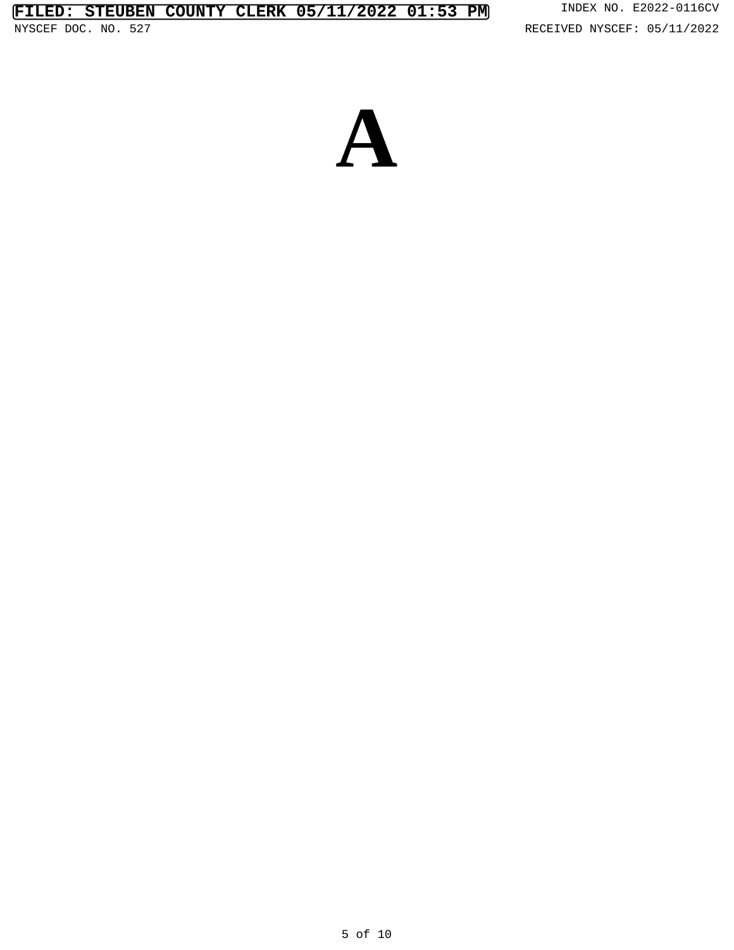RECEIVED NYSCEF: 05/11/2022

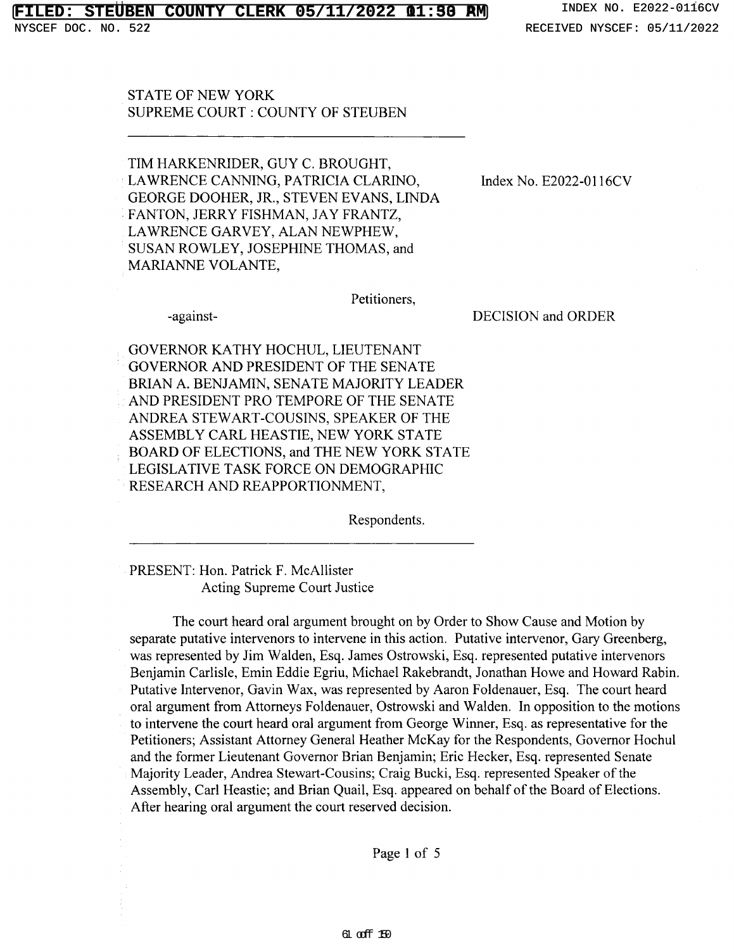#### **STEUBEN COUNTY CLERK 05/11/2022 01:50 RM** INDEX NO. E2022-0116CV **01:53 PM**

NYSCEF DOC. NO. 522

**STATE OF NEW YORK** SUPREME COURT : COUNTY OF STEUBEN

TIM HARKENRIDER, GUY C. BROUGHT, LAWRENCE CANNING, PATRICIA CLARINO, GEORGE DOOHER, JR., STEVEN EVANS, LINDA FANTON, JERRY FISHMAN, JAY FRANTZ, LAWRENCE GARVEY, ALAN NEWPHEW, SUSAN ROWLEY, JOSEPHINE THOMAS, and MARIANNE VOLANTE,

-against-

Index No. E2022-0116CV

Petitioners,

**DECISION** and ORDER

GOVERNOR KATHY HOCHUL, LIEUTENANT GOVERNOR AND PRESIDENT OF THE SENATE BRIAN A. BENJAMIN, SENATE MAJORITY LEADER AND PRESIDENT PRO TEMPORE OF THE SENATE ANDREA STEWART-COUSINS, SPEAKER OF THE ASSEMBLY CARL HEASTIE, NEW YORK STATE BOARD OF ELECTIONS, and THE NEW YORK STATE LEGISLATIVE TASK FORCE ON DEMOGRAPHIC RESEARCH AND REAPPORTIONMENT,

Respondents.

PRESENT: Hon. Patrick F. McAllister Acting Supreme Court Justice

The court heard oral argument brought on by Order to Show Cause and Motion by separate putative intervenors to intervene in this action. Putative intervenor, Gary Greenberg, was represented by Jim Walden, Esq. James Ostrowski, Esq. represented putative intervenors Benjamin Carlisle, Emin Eddie Egriu, Michael Rakebrandt, Jonathan Howe and Howard Rabin. Putative Intervenor, Gavin Wax, was represented by Aaron Foldenauer, Esq. The court heard oral argument from Attorneys Foldenauer, Ostrowski and Walden. In opposition to the motions to intervene the court heard oral argument from George Winner, Esq. as representative for the Petitioners; Assistant Attorney General Heather McKay for the Respondents, Governor Hochul and the former Lieutenant Governor Brian Benjamin; Eric Hecker, Esq. represented Senate Majority Leader, Andrea Stewart-Cousins; Craig Bucki, Esq. represented Speaker of the Assembly, Carl Heastie; and Brian Quail, Esq. appeared on behalf of the Board of Elections. After hearing oral argument the court reserved decision.

Page 1 of 5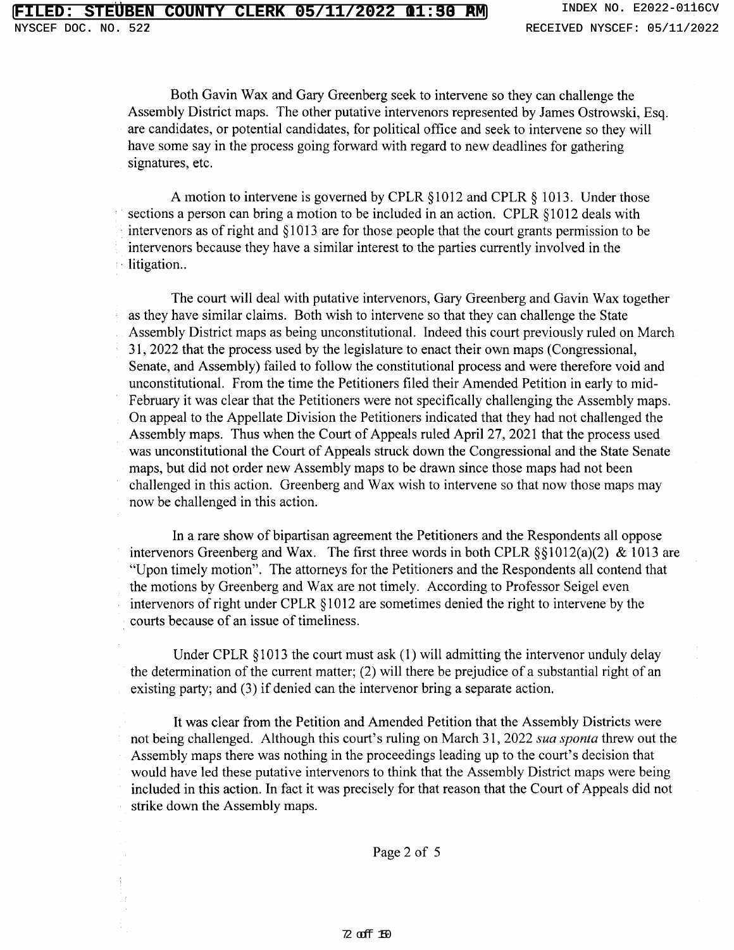Both Gavin Wax and Gary Greenberg seek to intervene so they can challenge the Assembly District maps. The other putative intervenors represented by James Ostrowski, Esq. are candidates, or potential candidates, for political office and seek to intervene so they will have some say in the process going forward with regard to new deadlines for gathering signatures, etc.

A motion to intervene is governed by CPLR §1012 and CPLR § 1013. Under those sections a person can bring a motion to be included in an action. CPLR §1012 deals with intervenors as of right and §1013 are for those people that the court grants permission to be intervenors because they have a similar interest to the parties currently involved in the litigation..

The court will deal with putative intervenors, Gary Greenberg and Gavin Wax together as they have similar claims. Both wish to intervene so that they can challenge the State Assembly District maps as being unconstitutional. Indeed this court previously ruled on March 31, 2022 that the process used by the legislature to enact their own maps (Congressional, Senate, and Assembly) failed to follow the constitutional process and were therefore void and unconstitutional. From the time the Petitioners filed their Amended Petition in early to mid-February it was clear that the Petitioners were not specifically challenging the Assembly maps. On appeal to the Appellate Division the Petitioners indicated that they had not challenged the Assembly maps. Thus when the Court of Appeals ruled April 27, 2021 that the process used was unconstitutional the Court of Appeals struck down the Congressional and the State Senate maps, but did not order new Assembly maps to be drawn since those maps had not been challenged in this action. Greenberg and Wax wish to intervene so that now those maps may now be challenged in this action.

In a rare show of bipartisan agreement the Petitioners and the Respondents all oppose intervenors Greenberg and Wax. The first three words in both CPLR  $\S$ §1012(a)(2) & 1013 are "Upon timely motion". The attorneys for the Petitioners and the Respondents all contend that the motions by Greenberg and Wax are not timely. According to Professor Seigel even intervenors of right under CPLR §1012 are sometimes denied the right to intervene by the courts because of an issue of timeliness.

Under CPLR  $\S 1013$  the court must ask (1) will admitting the intervenor unduly delay the determination of the current matter; (2) will there be prejudice of a substantial right of an existing party; and (3) if denied can the intervenor bring a separate action.

It was clear from the Petition and Amended Petition that the Assembly Districts were not being challenged. Although this court's ruling on March 31, 2022 sua sponta threw out the Assembly maps there was nothing in the proceedings leading up to the court's decision that would have led these putative intervenors to think that the Assembly District maps were being included in this action. In fact it was precisely for that reason that the Court of Appeals did not strike down the Assembly maps.

Page 2 of 5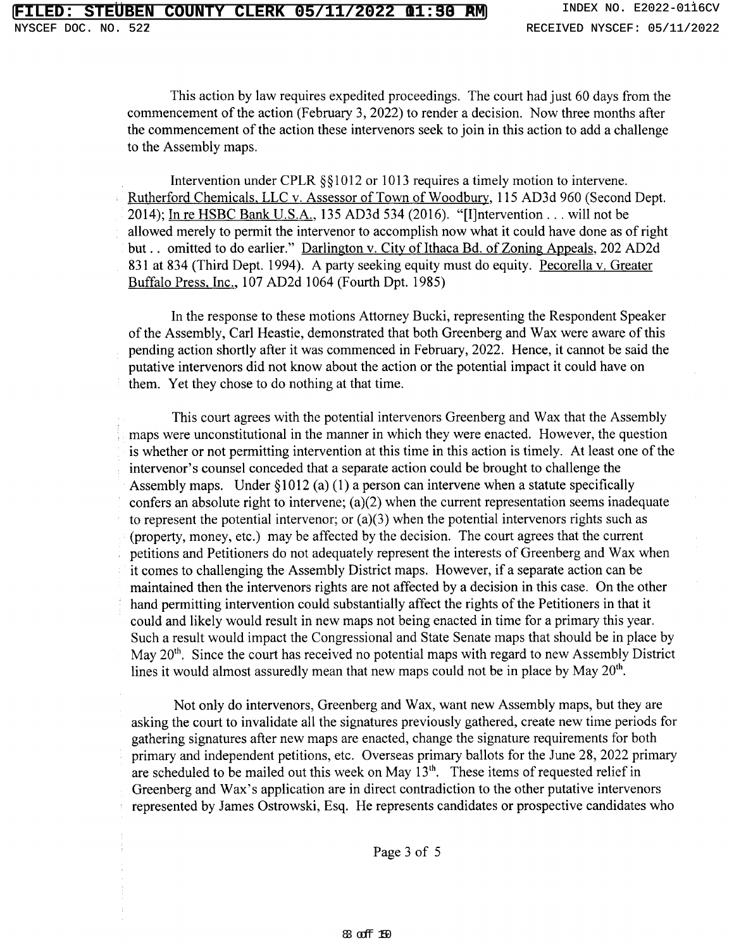This action by law requires expedited proceedings. The court had just 60 days from the commencement of the action (February 3, 2022) to render a decision. Now three months after the commencement of the action these intervenors seek to join in this action to add a challenge to the Assembly maps.

Intervention under CPLR §§1012 or 1013 requires a timely motion to intervene. Rutherford Chemicals, LLC v. Assessor of Town of Woodbury, 115 AD3d 960 (Second Dept. 2014); In re HSBC Bank U.S.A., 135 AD3d 534 (2016). "[I] ntervention . . . will not be allowed merely to permit the intervenor to accomplish now what it could have done as of right but... omitted to do earlier." Darlington v. City of Ithaca Bd. of Zoning Appeals, 202 AD2d 831 at 834 (Third Dept. 1994). A party seeking equity must do equity. Pecorella v. Greater Buffalo Press, Inc., 107 AD2d 1064 (Fourth Dpt. 1985)

In the response to these motions Attorney Bucki, representing the Respondent Speaker of the Assembly, Carl Heastie, demonstrated that both Greenberg and Wax were aware of this pending action shortly after it was commenced in February, 2022. Hence, it cannot be said the putative intervenors did not know about the action or the potential impact it could have on them. Yet they chose to do nothing at that time.

This court agrees with the potential intervenors Greenberg and Wax that the Assembly maps were unconstitutional in the manner in which they were enacted. However, the question is whether or not permitting intervention at this time in this action is timely. At least one of the intervenor's counsel conceded that a separate action could be brought to challenge the Assembly maps. Under  $\S 1012$  (a) (1) a person can intervene when a statute specifically confers an absolute right to intervene;  $(a)(2)$  when the current representation seems inadequate to represent the potential intervenor; or  $(a)(3)$  when the potential intervenors rights such as (property, money, etc.) may be affected by the decision. The court agrees that the current petitions and Petitioners do not adequately represent the interests of Greenberg and Wax when it comes to challenging the Assembly District maps. However, if a separate action can be maintained then the intervenors rights are not affected by a decision in this case. On the other hand permitting intervention could substantially affect the rights of the Petitioners in that it could and likely would result in new maps not being enacted in time for a primary this year. Such a result would impact the Congressional and State Senate maps that should be in place by May 20<sup>th</sup>. Since the court has received no potential maps with regard to new Assembly District lines it would almost assuredly mean that new maps could not be in place by May 20<sup>th</sup>.

Not only do intervenors, Greenberg and Wax, want new Assembly maps, but they are asking the court to invalidate all the signatures previously gathered, create new time periods for gathering signatures after new maps are enacted, change the signature requirements for both primary and independent petitions, etc. Overseas primary ballots for the June 28, 2022 primary are scheduled to be mailed out this week on May 13<sup>th</sup>. These items of requested relief in Greenberg and Wax's application are in direct contradiction to the other putative intervenors represented by James Ostrowski, Esq. He represents candidates or prospective candidates who

Page 3 of 5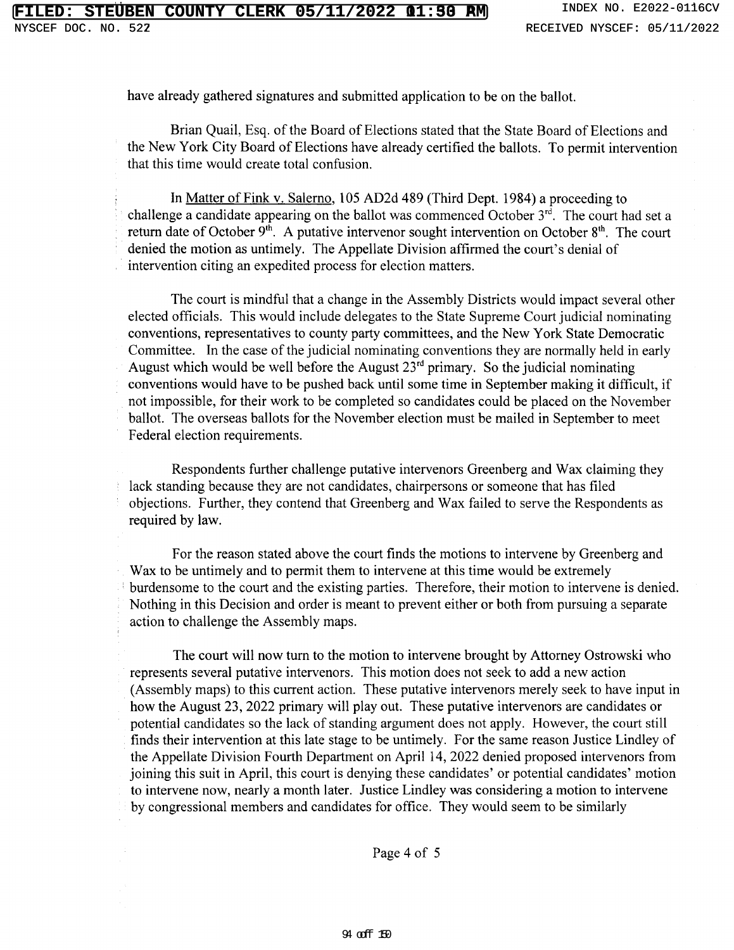527

have already gathered signatures and submitted application to be on the ballot.

Brian Quail, Esq. of the Board of Elections stated that the State Board of Elections and the New York City Board of Elections have already certified the ballots. To permit intervention that this time would create total confusion.

In Matter of Fink v. Salerno, 105 AD2d 489 (Third Dept. 1984) a proceeding to challenge a candidate appearing on the ballot was commenced October  $3^{rd}$ . The court had set a return date of October 9<sup>th</sup>. A putative intervenor sought intervention on October 8<sup>th</sup>. The court denied the motion as untimely. The Appellate Division affirmed the court's denial of intervention citing an expedited process for election matters.

The court is mindful that a change in the Assembly Districts would impact several other elected officials. This would include delegates to the State Supreme Court judicial nominating conventions, representatives to county party committees, and the New York State Democratic Committee. In the case of the judicial nominating conventions they are normally held in early August which would be well before the August  $23^{rd}$  primary. So the judicial nominating conventions would have to be pushed back until some time in September making it difficult, if not impossible, for their work to be completed so candidates could be placed on the November ballot. The overseas ballots for the November election must be mailed in September to meet Federal election requirements.

Respondents further challenge putative intervenors Greenberg and Wax claiming they lack standing because they are not candidates, chairpersons or someone that has filed objections. Further, they contend that Greenberg and Wax failed to serve the Respondents as required by law.

For the reason stated above the court finds the motions to intervene by Greenberg and Wax to be untimely and to permit them to intervene at this time would be extremely burdensome to the court and the existing parties. Therefore, their motion to intervene is denied. Nothing in this Decision and order is meant to prevent either or both from pursuing a separate action to challenge the Assembly maps.

The court will now turn to the motion to intervene brought by Attorney Ostrowski who represents several putative intervenors. This motion does not seek to add a new action (Assembly maps) to this current action. These putative intervenors merely seek to have input in how the August 23, 2022 primary will play out. These putative intervenors are candidates or potential candidates so the lack of standing argument does not apply. However, the court still finds their intervention at this late stage to be untimely. For the same reason Justice Lindley of the Appellate Division Fourth Department on April 14, 2022 denied proposed intervenors from joining this suit in April, this court is denying these candidates' or potential candidates' motion to intervene now, nearly a month later. Justice Lindley was considering a motion to intervene by congressional members and candidates for office. They would seem to be similarly

Page 4 of 5